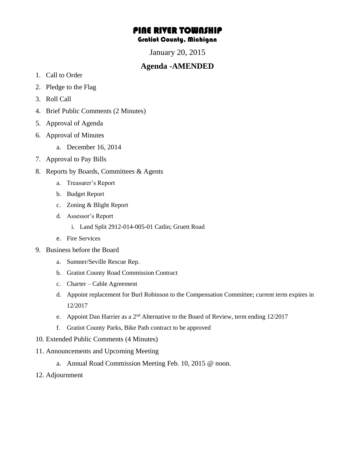## PINE RIVER TOWNSHIP Gratiot County, Michigan

January 20, 2015

## **Agenda -AMENDED**

- 1. Call to Order
- 2. Pledge to the Flag
- 3. Roll Call
- 4. Brief Public Comments (2 Minutes)
- 5. Approval of Agenda
- 6. Approval of Minutes
	- a. December 16, 2014
- 7. Approval to Pay Bills
- 8. Reports by Boards, Committees & Agents
	- a. Treasurer's Report
	- b. Budget Report
	- c. Zoning & Blight Report
	- d. Assessor's Report
		- i. Land Split 2912-014-005-01 Catlin; Gruett Road
	- e. Fire Services
- 9. Business before the Board
	- a. Sumner/Seville Rescue Rep.
	- b. Gratiot County Road Commission Contract
	- c. Charter Cable Agreement
	- d. Appoint replacement for Burl Robinson to the Compensation Committee; current term expires in 12/2017
	- e. Appoint Dan Harrier as a  $2<sup>nd</sup>$  Alternative to the Board of Review, term ending 12/2017
	- f. Gratiot County Parks, Bike Path contract to be approved
- 10. Extended Public Comments (4 Minutes)
- 11. Announcements and Upcoming Meeting
	- a. Annual Road Commission Meeting Feb. 10, 2015 @ noon.
- 12. Adjournment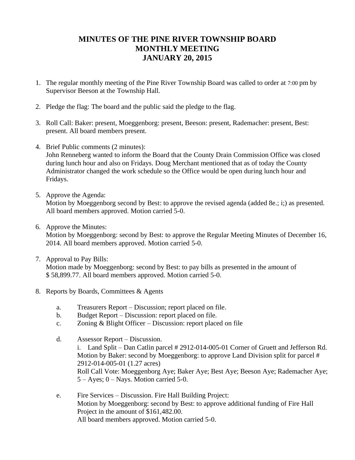## **MINUTES OF THE PINE RIVER TOWNSHIP BOARD MONTHLY MEETING JANUARY 20, 2015**

- 1. The regular monthly meeting of the Pine River Township Board was called to order at 7:00 pm by Supervisor Beeson at the Township Hall.
- 2. Pledge the flag: The board and the public said the pledge to the flag.
- 3. Roll Call: Baker: present, Moeggenborg: present, Beeson: present, Rademacher: present, Best: present. All board members present.
- 4. Brief Public comments (2 minutes):

John Renneberg wanted to inform the Board that the County Drain Commission Office was closed during lunch hour and also on Fridays. Doug Merchant mentioned that as of today the County Administrator changed the work schedule so the Office would be open during lunch hour and Fridays.

5. Approve the Agenda:

Motion by Moeggenborg second by Best: to approve the revised agenda (added 8e.; i;) as presented. All board members approved. Motion carried 5-0.

6. Approve the Minutes:

Motion by Moeggenborg: second by Best: to approve the Regular Meeting Minutes of December 16, 2014. All board members approved. Motion carried 5-0.

- 7. Approval to Pay Bills: Motion made by Moeggenborg: second by Best: to pay bills as presented in the amount of \$ 58,899.77. All board members approved. Motion carried 5-0.
- 8. Reports by Boards, Committees & Agents
	- a. Treasurers Report Discussion; report placed on file.
	- b. Budget Report Discussion: report placed on file.
	- c. Zoning & Blight Officer Discussion: report placed on file
	- d. Assessor Report Discussion.
		- i. Land Split Dan Catlin parcel # 2912-014-005-01 Corner of Gruett and Jefferson Rd. Motion by Baker: second by Moeggenborg: to approve Land Division split for parcel # 2912-014-005-01 (1.27 acres) Roll Call Vote: Moeggenborg Aye; Baker Aye; Best Aye; Beeson Aye; Rademacher Aye; 5 – Ayes; 0 – Nays. Motion carried 5-0.
	- e. Fire Services Discussion. Fire Hall Building Project: Motion by Moeggenborg: second by Best: to approve additional funding of Fire Hall Project in the amount of \$161,482.00. All board members approved. Motion carried 5-0.